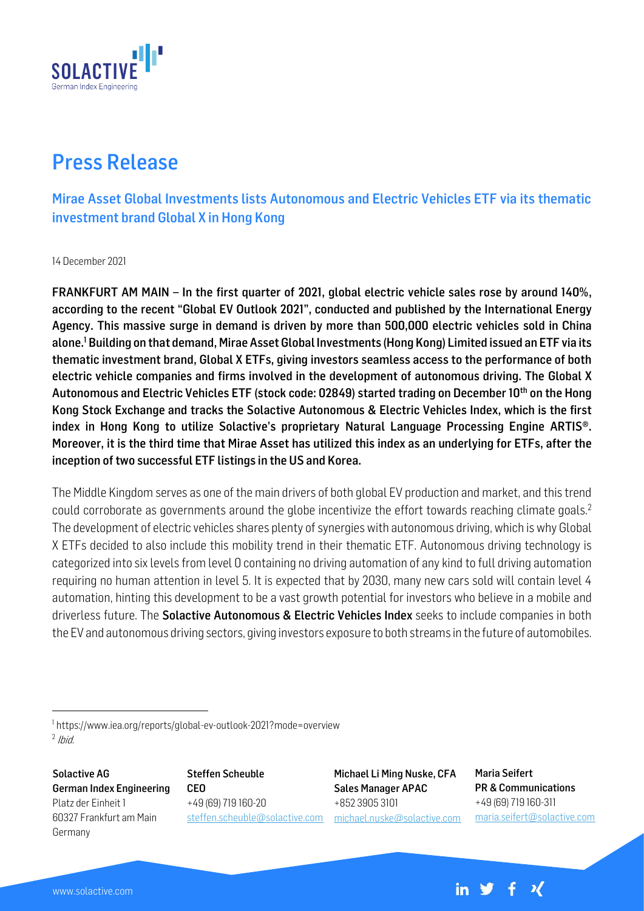

## Press Release

Mirae Asset Global Investments lists Autonomous and Electric Vehicles ETF via its thematic investment brand Global X in Hong Kong

14 December 2021

FRANKFURT AM MAIN – In the first quarter of 2021, global electric vehicle sales rose by around 140%, according to the recent "Global EV Outlook 2021", conducted and published by the International Energy Agency. This massive surge in demand is driven by more than 500,000 electric vehicles sold in China alone. <sup>1</sup> Building on that demand, Mirae Asset Global Investments (Hong Kong) Limited issued an ETF via its thematic investment brand, Global X ETFs, giving investors seamless access to the performance of both electric vehicle companies and firms involved in the development of autonomous driving. The Global X Autonomous and Electric Vehicles ETF (stock code: 02849) started trading on December 10<sup>th</sup> on the Hong Kong Stock Exchange and tracks the Solactive Autonomous & Electric Vehicles Index, which is the first index in Hong Kong to utilize Solactive's proprietary Natural Language Processing Engine ARTIS®. Moreover, it is the third time that Mirae Asset has utilized this index as an underlying for ETFs, after the inception of two successful ETF listings in the US and Korea.

The Middle Kingdom serves as one of the main drivers of both global EV production and market, and this trend could corroborate as governments around the globe incentivize the effort towards reaching climate goals.<sup>2</sup> The development of electric vehicles shares plenty of synergies with autonomous driving, which is why Global X ETFs decided to also include this mobility trend in their thematic ETF. Autonomous driving technology is categorized into six levels from level 0 containing no driving automation of any kind to full driving automation requiring no human attention in level 5. It is expected that by 2030, many new cars sold will contain level 4 automation, hinting this development to be a vast growth potential for investors who believe in a mobile and driverless future. The **Solactive Autonomous & Electric Vehicles Index** seeks to include companies in both the EV and autonomous driving sectors, giving investors exposure to both streams in the future of automobiles.

Solactive AG German Index Engineering Platz der Einheit 1 60327 Frankfurt am Main Germany

Steffen Scheuble CEO +49 (69) 719 160-20 steffen.scheuble@solactive.com

Michael Li Ming Nuske, CFA Sales Manager APAC +852 3905 3101 [michael.nuske@solactive.com](mailto:michael.nuske@solactive.com) Maria Seifert PR & Communications +49 (69) 719 160-311 maria.seifert@solactive.com

in  $y + x$ 

<sup>1</sup> https://www.iea.org/reports/global-ev-outlook-2021?mode=overview  $<sup>2</sup>$  Ibid.</sup>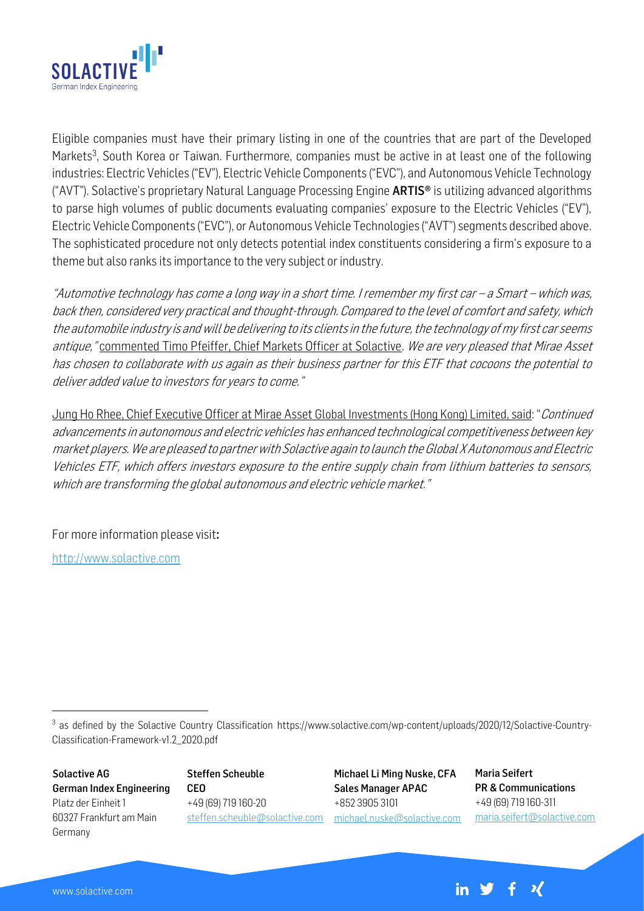

Eligible companies must have their primary listing in one of the countries that are part of the Developed Markets<sup>3</sup>, South Korea or Taiwan. Furthermore, companies must be active in at least one of the following industries: Electric Vehicles ("EV"), Electric Vehicle Components ("EVC"), and Autonomous Vehicle Technology ("AVT"). Solactive's proprietary Natural Language Processing Engine **ARTIS<sup>®</sup>** is utilizing advanced algorithms to parse high volumes of public documents evaluating companies' exposure to the Electric Vehicles ("EV"), Electric Vehicle Components ("EVC"), or Autonomous Vehicle Technologies ("AVT") segments described above. The sophisticated procedure not only detects potential index constituents considering a firm's exposure to a theme but also ranks its importance to the very subject or industry.

"Automotive technology has come a long way in a short time. I remember my first car – a Smart – which was, back then, considered very practical and thought-through. Compared to the level of comfort and safety, which the automobile industry is and will be delivering to its clients in the future, the technology of my first car seems antique, "commented Timo Pfeiffer, Chief Markets Officer at Solactive. We are very pleased that Mirae Asset has chosen to collaborate with us again as their business partner for this ETF that cocoons the potential to deliver added value to investors for years to come."

Jung Ho Rhee, Chief Executive Officer at Mirae Asset Global Investments (Hong Kong) Limited, said: "Continued advancements in autonomous and electric vehicles has enhanced technological competitiveness between key market players. We are pleased to partner with Solactive again to launch the Global X Autonomous and Electric Vehicles ETF, which offers investors exposure to the entire supply chain from lithium batteries to sensors, which are transforming the global autonomous and electric vehicle market."

For more information please visit:

[http://www.solactive.com](http://www.solactive.com/)

<sup>3</sup> as defined by the Solactive Country Classification https://www.solactive.com/wp-content/uploads/2020/12/Solactive-Country-Classification-Framework-v1.2\_2020.pdf

Solactive AG German Index Engineering Platz der Einheit 1 60327 Frankfurt am Main Germany

Steffen Scheuble CEO +49 (69) 719 160-20 steffen.scheuble@solactive.com

Michael Li Ming Nuske, CFA Sales Manager APAC +852 3905 3101 [michael.nuske@solactive.com](mailto:michael.nuske@solactive.com) Maria Seifert PR & Communications +49 (69) 719 160-311 maria.seifert@solactive.com

 $\boldsymbol{\lambda}$